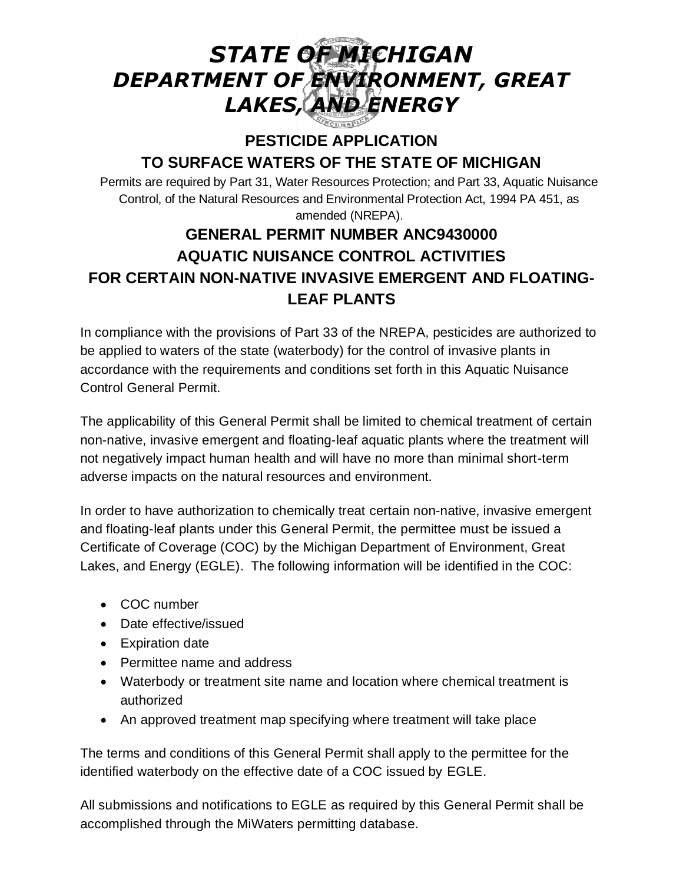# *STATE OF MICHIGAN DEPARTMENT OF ENVIRONMENT, GREAT LAKES, AND ENERGY*

# **PESTICIDE APPLICATION TO SURFACE WATERS OF THE STATE OF MICHIGAN**

Permits are required by Part 31, Water Resources Protection; and Part 33, Aquatic Nuisance Control, of the Natural Resources and Environmental Protection Act, 1994 PA 451, as amended (NREPA).

# **GENERAL PERMIT NUMBER ANC9430000 AQUATIC NUISANCE CONTROL ACTIVITIES FOR CERTAIN NON-NATIVE INVASIVE EMERGENT AND FLOATING-LEAF PLANTS**

In compliance with the provisions of Part 33 of the NREPA, pesticides are authorized to be applied to waters of the state (waterbody) for the control of invasive plants in accordance with the requirements and conditions set forth in this Aquatic Nuisance Control General Permit.

The applicability of this General Permit shall be limited to chemical treatment of certain non-native, invasive emergent and floating-leaf aquatic plants where the treatment will not negatively impact human health and will have no more than minimal short-term adverse impacts on the natural resources and environment.

In order to have authorization to chemically treat certain non-native, invasive emergent and floating-leaf plants under this General Permit, the permittee must be issued a Certificate of Coverage (COC) by the Michigan Department of Environment, Great Lakes, and Energy (EGLE). The following information will be identified in the COC:

- COC number
- Date effective/issued
- Expiration date
- Permittee name and address
- Waterbody or treatment site name and location where chemical treatment is authorized
- An approved treatment map specifying where treatment will take place

The terms and conditions of this General Permit shall apply to the permittee for the identified waterbody on the effective date of a COC issued by EGLE.

All submissions and notifications to EGLE as required by this General Permit shall be accomplished through the MiWaters permitting database.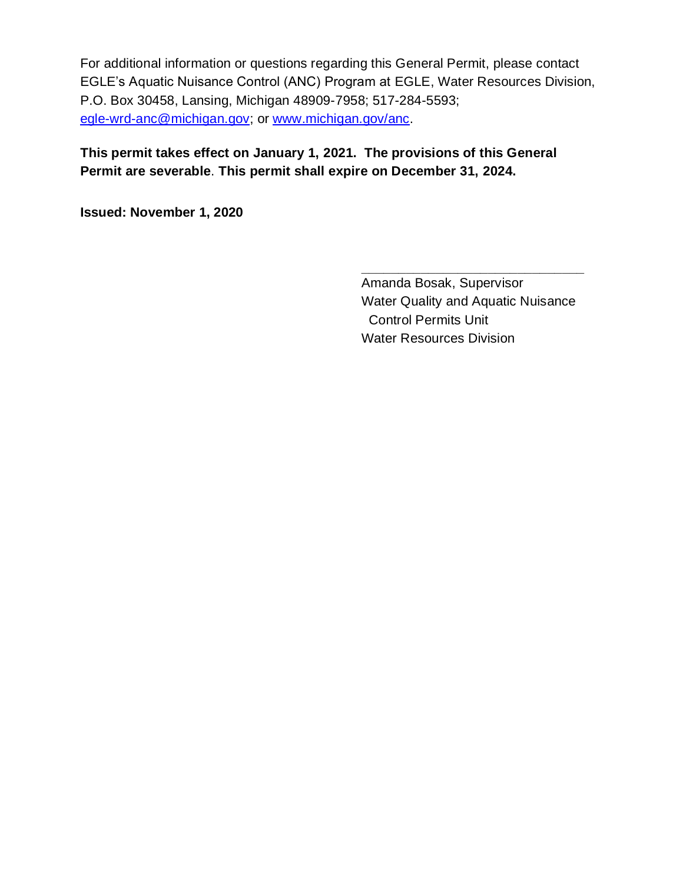For additional information or questions regarding this General Permit, please contact EGLE's Aquatic Nuisance Control (ANC) Program at EGLE, Water Resources Division, P.O. Box 30458, Lansing, Michigan 48909-7958; 517-284-5593; [egle-wrd-anc@michigan.gov;](mailto:egle-wrd-anc@michigan.gov) or [www.michigan.gov/anc.](http://www.michigan.gov/anc)

# **This permit takes effect on January 1, 2021. The provisions of this General Permit are severable**. **This permit shall expire on December 31, 2024.**

**Issued: November 1, 2020**

Amanda Bosak, Supervisor Water Quality and Aquatic Nuisance Control Permits Unit Water Resources Division

**\_\_\_\_\_\_\_\_\_\_\_\_\_\_\_\_\_\_\_\_\_\_\_\_\_\_\_\_\_\_**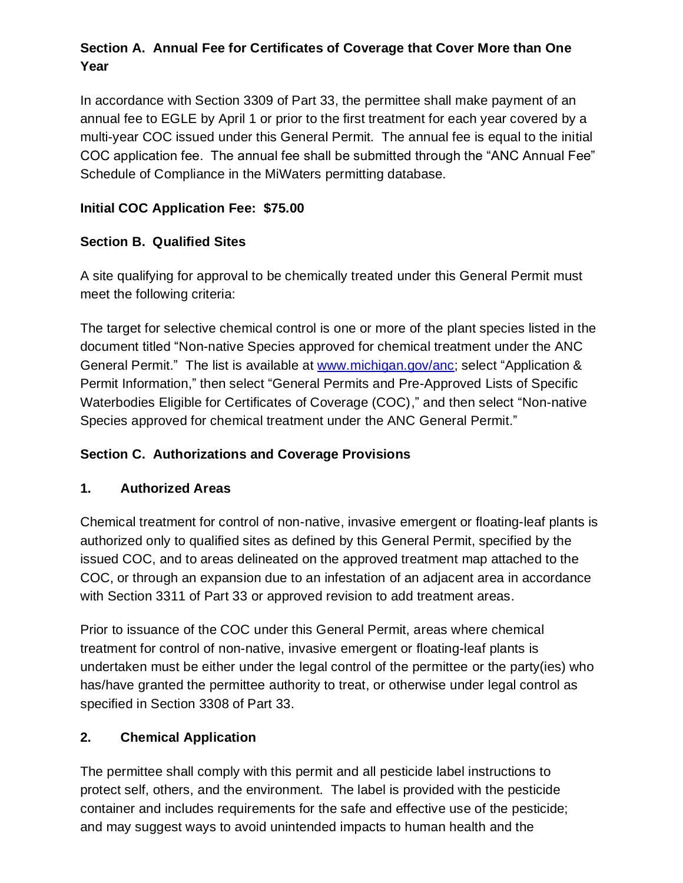# **Section A. Annual Fee for Certificates of Coverage that Cover More than One Year**

In accordance with Section 3309 of Part 33, the permittee shall make payment of an annual fee to EGLE by April 1 or prior to the first treatment for each year covered by a multi-year COC issued under this General Permit. The annual fee is equal to the initial COC application fee. The annual fee shall be submitted through the "ANC Annual Fee" Schedule of Compliance in the MiWaters permitting database.

# **Initial COC Application Fee: \$75.00**

# **Section B. Qualified Sites**

A site qualifying for approval to be chemically treated under this General Permit must meet the following criteria:

The target for selective chemical control is one or more of the plant species listed in the document titled "Non-native Species approved for chemical treatment under the ANC General Permit." The list is available at [www.michigan.gov/anc;](http://www.michigan.gov/anc) select "Application & Permit Information," then select "General Permits and Pre-Approved Lists of Specific Waterbodies Eligible for Certificates of Coverage (COC)," and then select "Non-native Species approved for chemical treatment under the ANC General Permit."

# **Section C. Authorizations and Coverage Provisions**

#### **1. Authorized Areas**

Chemical treatment for control of non-native, invasive emergent or floating-leaf plants is authorized only to qualified sites as defined by this General Permit, specified by the issued COC, and to areas delineated on the approved treatment map attached to the COC, or through an expansion due to an infestation of an adjacent area in accordance with Section 3311 of Part 33 or approved revision to add treatment areas.

Prior to issuance of the COC under this General Permit, areas where chemical treatment for control of non-native, invasive emergent or floating-leaf plants is undertaken must be either under the legal control of the permittee or the party(ies) who has/have granted the permittee authority to treat, or otherwise under legal control as specified in Section 3308 of Part 33.

# **2. Chemical Application**

The permittee shall comply with this permit and all pesticide label instructions to protect self, others, and the environment. The label is provided with the pesticide container and includes requirements for the safe and effective use of the pesticide; and may suggest ways to avoid unintended impacts to human health and the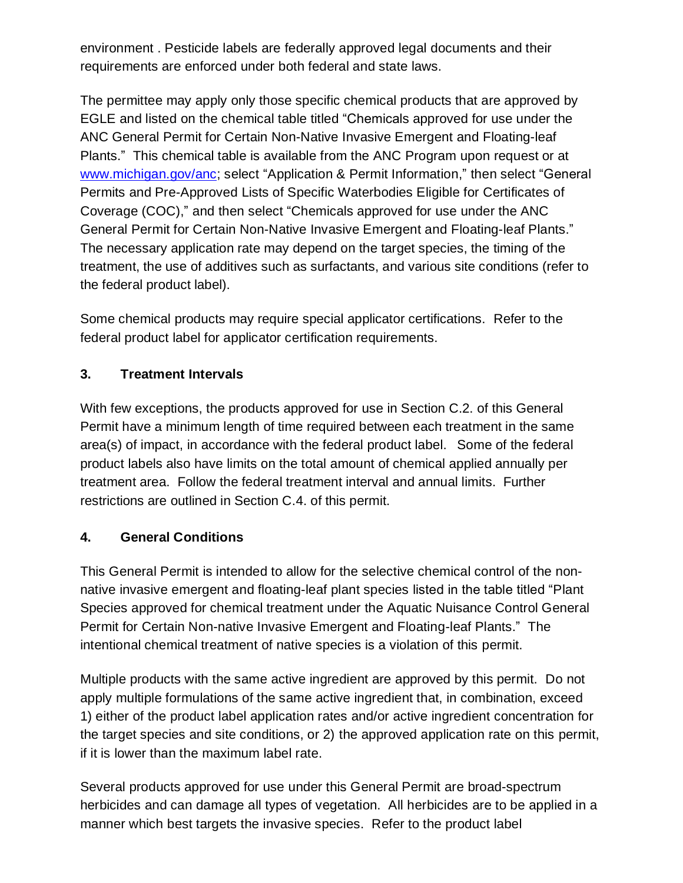environment . Pesticide labels are federally approved legal documents and their requirements are enforced under both federal and state laws.

The permittee may apply only those specific chemical products that are approved by EGLE and listed on the chemical table titled "Chemicals approved for use under the ANC General Permit for Certain Non-Native Invasive Emergent and Floating-leaf Plants." This chemical table is available from the ANC Program upon request or at [www.michigan.gov/anc;](http://www.michigan.gov/anc) select "Application & Permit Information," then select "General Permits and Pre-Approved Lists of Specific Waterbodies Eligible for Certificates of Coverage (COC)," and then select "Chemicals approved for use under the ANC General Permit for Certain Non-Native Invasive Emergent and Floating-leaf Plants." The necessary application rate may depend on the target species, the timing of the treatment, the use of additives such as surfactants, and various site conditions (refer to the federal product label).

Some chemical products may require special applicator certifications. Refer to the federal product label for applicator certification requirements.

# **3. Treatment Intervals**

With few exceptions, the products approved for use in Section C.2. of this General Permit have a minimum length of time required between each treatment in the same area(s) of impact, in accordance with the federal product label. Some of the federal product labels also have limits on the total amount of chemical applied annually per treatment area. Follow the federal treatment interval and annual limits. Further restrictions are outlined in Section C.4. of this permit.

#### **4. General Conditions**

This General Permit is intended to allow for the selective chemical control of the nonnative invasive emergent and floating-leaf plant species listed in the table titled "Plant Species approved for chemical treatment under the Aquatic Nuisance Control General Permit for Certain Non-native Invasive Emergent and Floating-leaf Plants." The intentional chemical treatment of native species is a violation of this permit.

Multiple products with the same active ingredient are approved by this permit. Do not apply multiple formulations of the same active ingredient that, in combination, exceed 1) either of the product label application rates and/or active ingredient concentration for the target species and site conditions, or 2) the approved application rate on this permit, if it is lower than the maximum label rate.

Several products approved for use under this General Permit are broad-spectrum herbicides and can damage all types of vegetation. All herbicides are to be applied in a manner which best targets the invasive species. Refer to the product label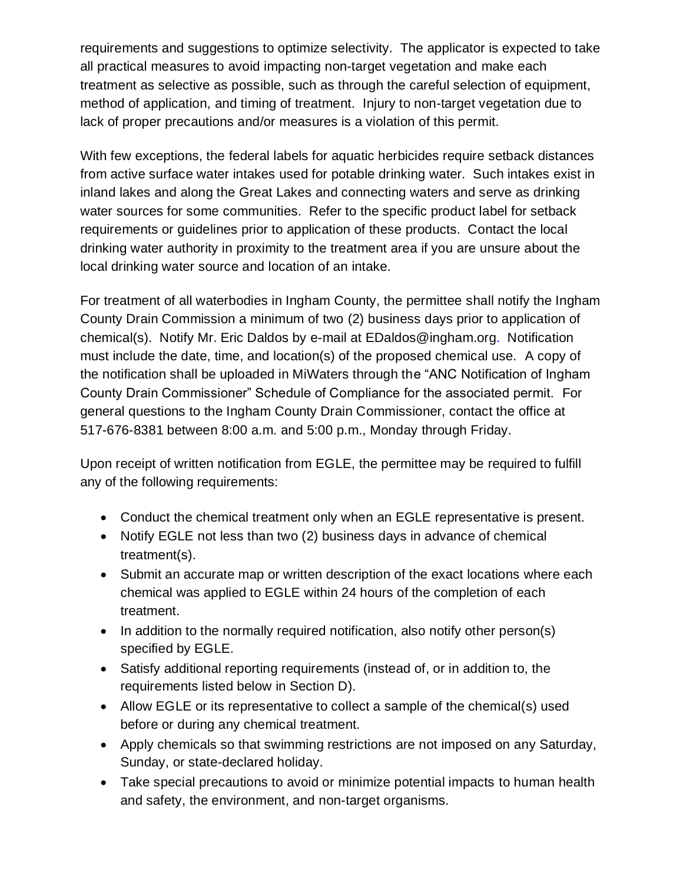requirements and suggestions to optimize selectivity. The applicator is expected to take all practical measures to avoid impacting non-target vegetation and make each treatment as selective as possible, such as through the careful selection of equipment, method of application, and timing of treatment. Injury to non-target vegetation due to lack of proper precautions and/or measures is a violation of this permit.

With few exceptions, the federal labels for aquatic herbicides require setback distances from active surface water intakes used for potable drinking water. Such intakes exist in inland lakes and along the Great Lakes and connecting waters and serve as drinking water sources for some communities. Refer to the specific product label for setback requirements or guidelines prior to application of these products. Contact the local drinking water authority in proximity to the treatment area if you are unsure about the local drinking water source and location of an intake.

For treatment of all waterbodies in Ingham County, the permittee shall notify the Ingham County Drain Commission a minimum of two (2) business days prior to application of chemical(s). Notify Mr. Eric Daldos by e-mail at EDaldos@ingham.org. Notification must include the date, time, and location(s) of the proposed chemical use. A copy of the notification shall be uploaded in MiWaters through the "ANC Notification of Ingham County Drain Commissioner" Schedule of Compliance for the associated permit. For general questions to the Ingham County Drain Commissioner, contact the office at 517-676-8381 between 8:00 a.m. and 5:00 p.m., Monday through Friday.

Upon receipt of written notification from EGLE, the permittee may be required to fulfill any of the following requirements:

- Conduct the chemical treatment only when an EGLE representative is present.
- Notify EGLE not less than two (2) business days in advance of chemical treatment(s).
- Submit an accurate map or written description of the exact locations where each chemical was applied to EGLE within 24 hours of the completion of each treatment.
- In addition to the normally required notification, also notify other person(s) specified by EGLE.
- Satisfy additional reporting requirements (instead of, or in addition to, the requirements listed below in Section D).
- Allow EGLE or its representative to collect a sample of the chemical(s) used before or during any chemical treatment.
- Apply chemicals so that swimming restrictions are not imposed on any Saturday, Sunday, or state-declared holiday.
- Take special precautions to avoid or minimize potential impacts to human health and safety, the environment, and non-target organisms.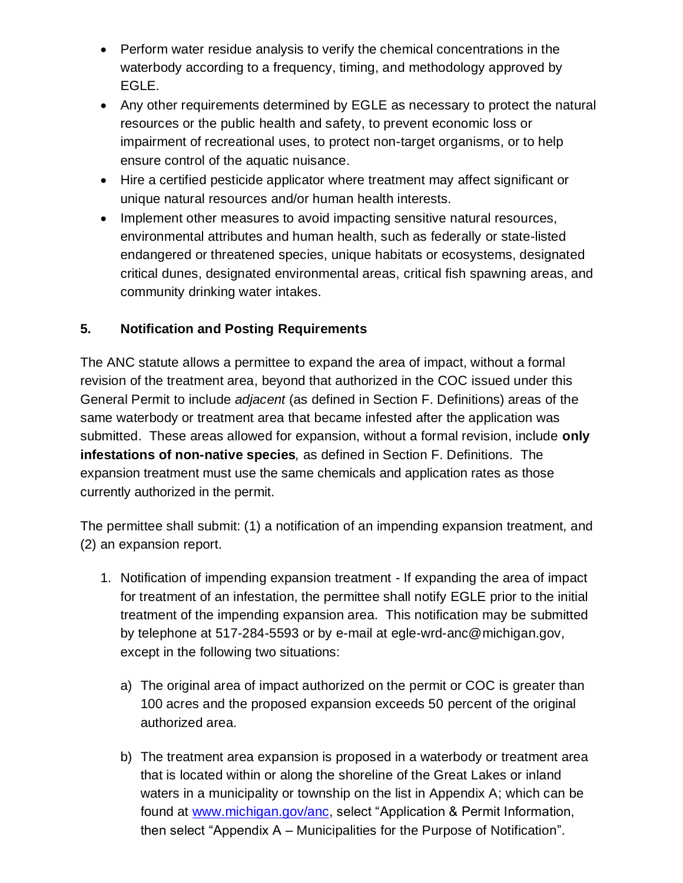- Perform water residue analysis to verify the chemical concentrations in the waterbody according to a frequency, timing, and methodology approved by EGLE.
- Any other requirements determined by EGLE as necessary to protect the natural resources or the public health and safety, to prevent economic loss or impairment of recreational uses, to protect non-target organisms, or to help ensure control of the aquatic nuisance.
- Hire a certified pesticide applicator where treatment may affect significant or unique natural resources and/or human health interests.
- Implement other measures to avoid impacting sensitive natural resources, environmental attributes and human health, such as federally or state-listed endangered or threatened species, unique habitats or ecosystems, designated critical dunes, designated environmental areas, critical fish spawning areas, and community drinking water intakes.

# **5. Notification and Posting Requirements**

The ANC statute allows a permittee to expand the area of impact, without a formal revision of the treatment area, beyond that authorized in the COC issued under this General Permit to include *adjacent* (as defined in Section F. Definitions) areas of the same waterbody or treatment area that became infested after the application was submitted. These areas allowed for expansion, without a formal revision, include **only infestations of non-native species***,* as defined in Section F. Definitions. The expansion treatment must use the same chemicals and application rates as those currently authorized in the permit.

The permittee shall submit: (1) a notification of an impending expansion treatment, and (2) an expansion report.

- 1. Notification of impending expansion treatment If expanding the area of impact for treatment of an infestation, the permittee shall notify EGLE prior to the initial treatment of the impending expansion area. This notification may be submitted by telephone at 517-284-5593 or by e-mail at egle-wrd-anc@michigan.gov, except in the following two situations:
	- a) The original area of impact authorized on the permit or COC is greater than 100 acres and the proposed expansion exceeds 50 percent of the original authorized area.
	- b) The treatment area expansion is proposed in a waterbody or treatment area that is located within or along the shoreline of the Great Lakes or inland waters in a municipality or township on the list in Appendix A; which can be found at [www.michigan.gov/anc,](http://www.michigan.gov/anc) select "Application & Permit Information, then select "Appendix A – Municipalities for the Purpose of Notification".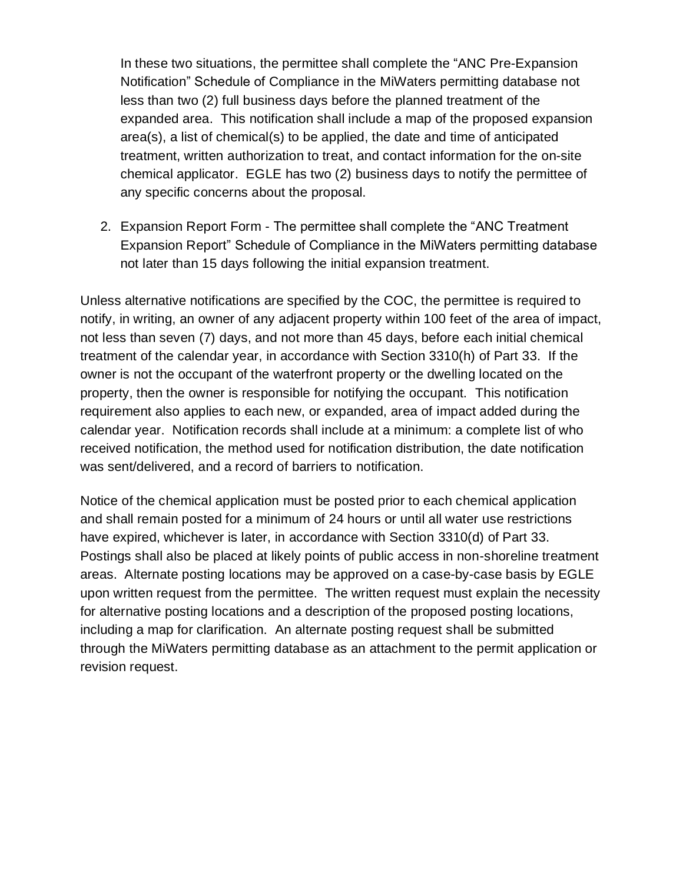In these two situations, the permittee shall complete the "ANC Pre-Expansion Notification" Schedule of Compliance in the MiWaters permitting database not less than two (2) full business days before the planned treatment of the expanded area. This notification shall include a map of the proposed expansion area(s), a list of chemical(s) to be applied, the date and time of anticipated treatment, written authorization to treat, and contact information for the on-site chemical applicator. EGLE has two (2) business days to notify the permittee of any specific concerns about the proposal.

2. Expansion Report Form - The permittee shall complete the "ANC Treatment Expansion Report" Schedule of Compliance in the MiWaters permitting database not later than 15 days following the initial expansion treatment.

Unless alternative notifications are specified by the COC, the permittee is required to notify, in writing, an owner of any adjacent property within 100 feet of the area of impact, not less than seven (7) days, and not more than 45 days, before each initial chemical treatment of the calendar year, in accordance with Section 3310(h) of Part 33. If the owner is not the occupant of the waterfront property or the dwelling located on the property, then the owner is responsible for notifying the occupant. This notification requirement also applies to each new, or expanded, area of impact added during the calendar year. Notification records shall include at a minimum: a complete list of who received notification, the method used for notification distribution, the date notification was sent/delivered, and a record of barriers to notification.

Notice of the chemical application must be posted prior to each chemical application and shall remain posted for a minimum of 24 hours or until all water use restrictions have expired, whichever is later, in accordance with Section 3310(d) of Part 33. Postings shall also be placed at likely points of public access in non-shoreline treatment areas. Alternate posting locations may be approved on a case-by-case basis by EGLE upon written request from the permittee. The written request must explain the necessity for alternative posting locations and a description of the proposed posting locations, including a map for clarification. An alternate posting request shall be submitted through the MiWaters permitting database as an attachment to the permit application or revision request.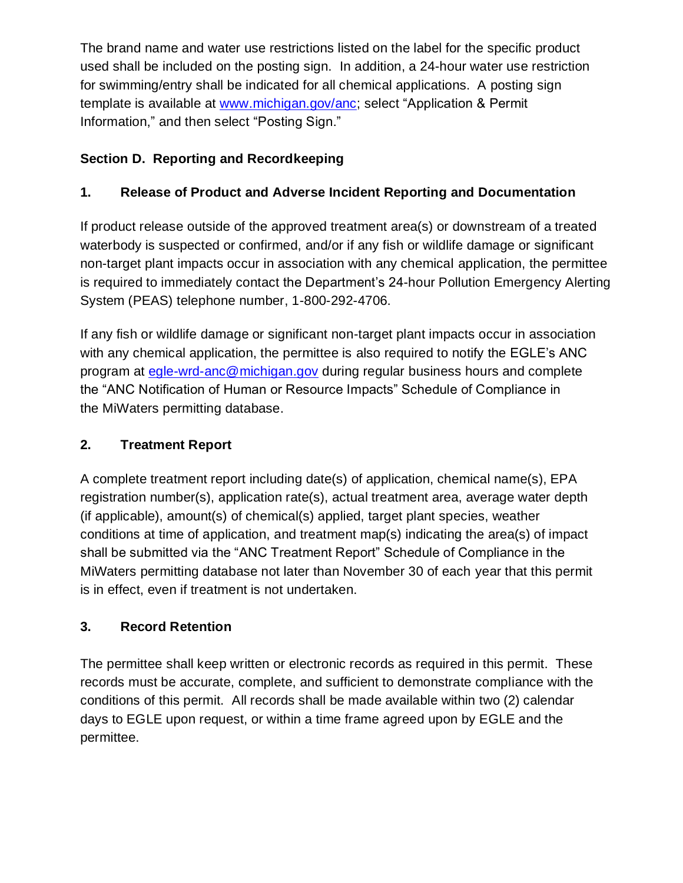The brand name and water use restrictions listed on the label for the specific product used shall be included on the posting sign. In addition, a 24-hour water use restriction for swimming/entry shall be indicated for all chemical applications. A posting sign template is available at [www.michigan.gov/anc;](http://www.michigan.gov/anc) select "Application & Permit Information," and then select "Posting Sign."

# **Section D. Reporting and Recordkeeping**

# **1. Release of Product and Adverse Incident Reporting and Documentation**

If product release outside of the approved treatment area(s) or downstream of a treated waterbody is suspected or confirmed, and/or if any fish or wildlife damage or significant non-target plant impacts occur in association with any chemical application, the permittee is required to immediately contact the Department's 24-hour Pollution Emergency Alerting System (PEAS) telephone number, 1-800-292-4706.

If any fish or wildlife damage or significant non-target plant impacts occur in association with any chemical application, the permittee is also required to notify the EGLE's ANC program at [egle-wrd-anc@michigan.gov](mailto:egle-wrd-anc@michigan.gov) during regular business hours and complete the "ANC Notification of Human or Resource Impacts" Schedule of Compliance in the MiWaters permitting database.

# **2. Treatment Report**

A complete treatment report including date(s) of application, chemical name(s), EPA registration number(s), application rate(s), actual treatment area, average water depth (if applicable), amount(s) of chemical(s) applied, target plant species, weather conditions at time of application, and treatment map(s) indicating the area(s) of impact shall be submitted via the "ANC Treatment Report" Schedule of Compliance in the MiWaters permitting database not later than November 30 of each year that this permit is in effect, even if treatment is not undertaken.

# **3. Record Retention**

The permittee shall keep written or electronic records as required in this permit. These records must be accurate, complete, and sufficient to demonstrate compliance with the conditions of this permit. All records shall be made available within two (2) calendar days to EGLE upon request, or within a time frame agreed upon by EGLE and the permittee.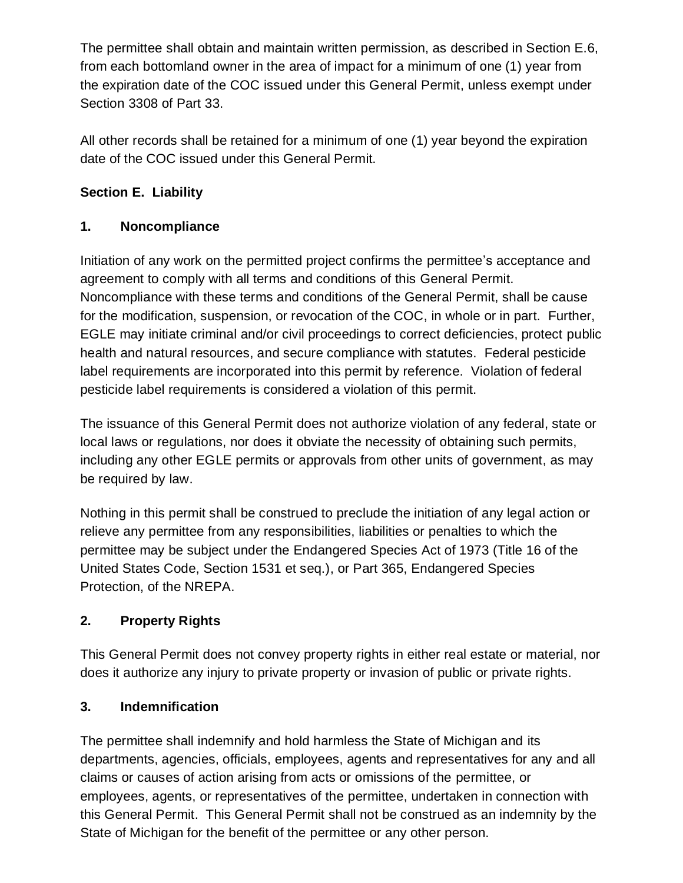The permittee shall obtain and maintain written permission, as described in Section E.6, from each bottomland owner in the area of impact for a minimum of one (1) year from the expiration date of the COC issued under this General Permit, unless exempt under Section 3308 of Part 33.

All other records shall be retained for a minimum of one (1) year beyond the expiration date of the COC issued under this General Permit.

# **Section E. Liability**

# **1. Noncompliance**

Initiation of any work on the permitted project confirms the permittee's acceptance and agreement to comply with all terms and conditions of this General Permit. Noncompliance with these terms and conditions of the General Permit, shall be cause for the modification, suspension, or revocation of the COC, in whole or in part. Further, EGLE may initiate criminal and/or civil proceedings to correct deficiencies, protect public health and natural resources, and secure compliance with statutes. Federal pesticide label requirements are incorporated into this permit by reference. Violation of federal pesticide label requirements is considered a violation of this permit.

The issuance of this General Permit does not authorize violation of any federal, state or local laws or regulations, nor does it obviate the necessity of obtaining such permits, including any other EGLE permits or approvals from other units of government, as may be required by law.

Nothing in this permit shall be construed to preclude the initiation of any legal action or relieve any permittee from any responsibilities, liabilities or penalties to which the permittee may be subject under the Endangered Species Act of 1973 (Title 16 of the United States Code, Section 1531 et seq.), or Part 365, Endangered Species Protection, of the NREPA.

# **2. Property Rights**

This General Permit does not convey property rights in either real estate or material, nor does it authorize any injury to private property or invasion of public or private rights.

# **3. Indemnification**

The permittee shall indemnify and hold harmless the State of Michigan and its departments, agencies, officials, employees, agents and representatives for any and all claims or causes of action arising from acts or omissions of the permittee, or employees, agents, or representatives of the permittee, undertaken in connection with this General Permit. This General Permit shall not be construed as an indemnity by the State of Michigan for the benefit of the permittee or any other person.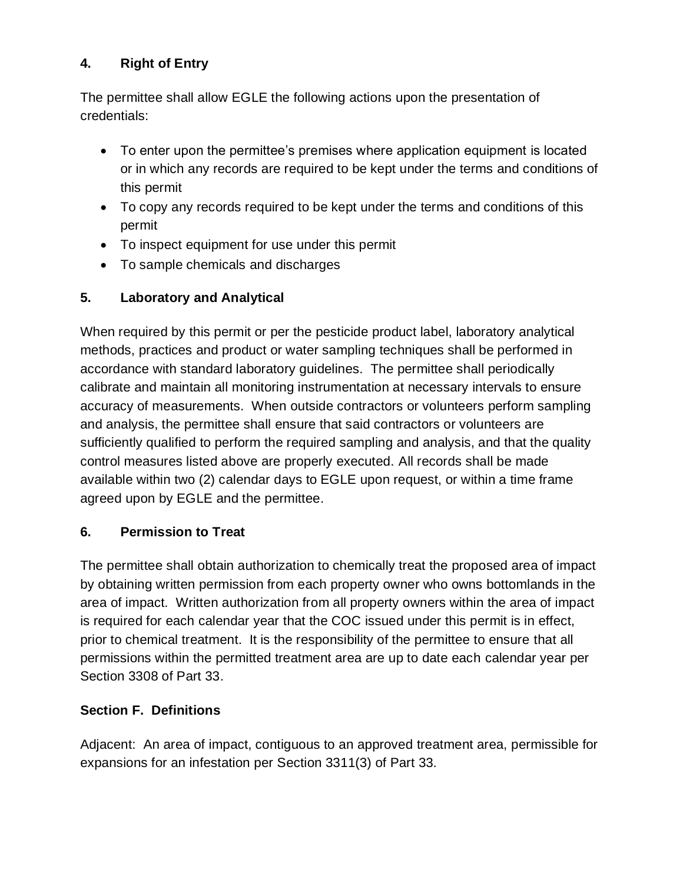# **4. Right of Entry**

The permittee shall allow EGLE the following actions upon the presentation of credentials:

- To enter upon the permittee's premises where application equipment is located or in which any records are required to be kept under the terms and conditions of this permit
- To copy any records required to be kept under the terms and conditions of this permit
- To inspect equipment for use under this permit
- To sample chemicals and discharges

# **5. Laboratory and Analytical**

When required by this permit or per the pesticide product label, laboratory analytical methods, practices and product or water sampling techniques shall be performed in accordance with standard laboratory guidelines. The permittee shall periodically calibrate and maintain all monitoring instrumentation at necessary intervals to ensure accuracy of measurements. When outside contractors or volunteers perform sampling and analysis, the permittee shall ensure that said contractors or volunteers are sufficiently qualified to perform the required sampling and analysis, and that the quality control measures listed above are properly executed. All records shall be made available within two (2) calendar days to EGLE upon request, or within a time frame agreed upon by EGLE and the permittee.

# **6. Permission to Treat**

The permittee shall obtain authorization to chemically treat the proposed area of impact by obtaining written permission from each property owner who owns bottomlands in the area of impact. Written authorization from all property owners within the area of impact is required for each calendar year that the COC issued under this permit is in effect, prior to chemical treatment. It is the responsibility of the permittee to ensure that all permissions within the permitted treatment area are up to date each calendar year per Section 3308 of Part 33.

# **Section F. Definitions**

Adjacent: An area of impact, contiguous to an approved treatment area, permissible for expansions for an infestation per Section 3311(3) of Part 33.